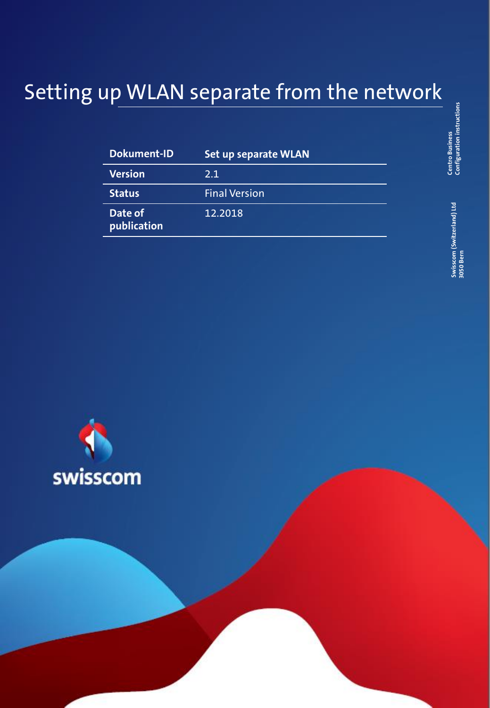# Setting up WLAN separate from the network

| <b>Dokument-ID</b>     | <b>Set up separate WLAN</b> |  |
|------------------------|-----------------------------|--|
| <b>Version</b>         | 2.1                         |  |
| <b>Status</b>          | <b>Final Version</b>        |  |
| Date of<br>publication | 12.2018                     |  |



Swisscom (Switzerland) Ltd<br>3050 Bern **Swisscom (Switzerland) Ltd 3050 Bern**

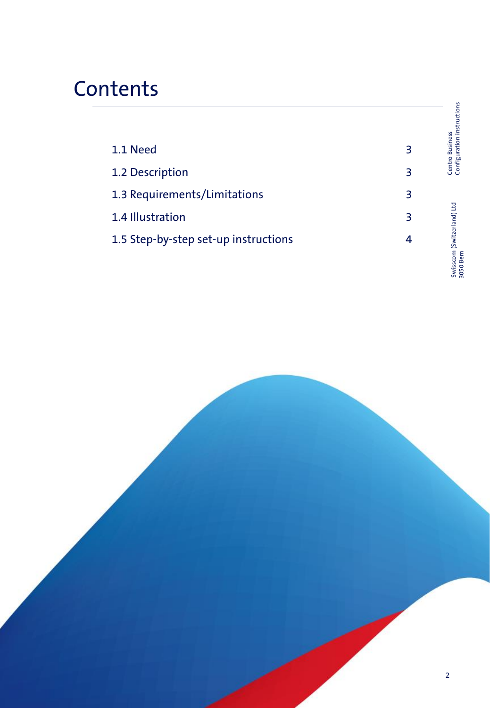## **Contents**

|                                      |   | Centro Business<br>Configuration instructions |
|--------------------------------------|---|-----------------------------------------------|
| 1.1 Need                             | 3 |                                               |
| 1.2 Description                      | 3 |                                               |
| 1.3 Requirements/Limitations         | 3 |                                               |
| 1.4 Illustration                     | 3 | (Switzerland) Ltd                             |
| 1.5 Step-by-step set-up instructions | 4 | <b>a</b><br>ara<br>a                          |

Swisscom (Switzerland) Ltd 3050 Bern

Swisscom (Switzerland) Ltd<br>3050 Bern

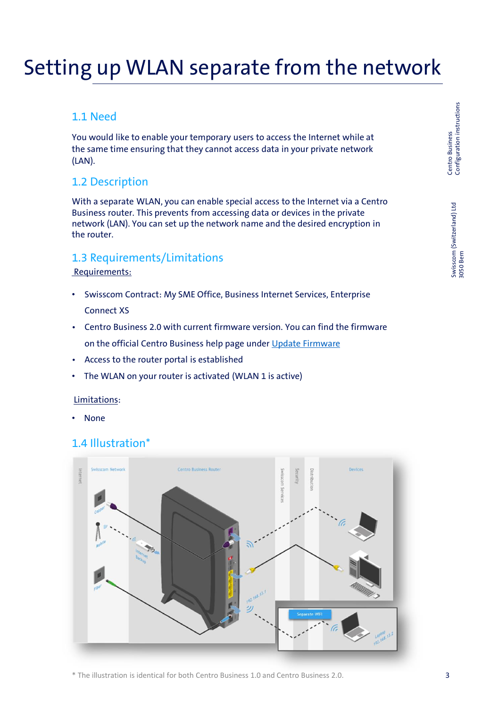## Setting up WLAN separate from the network

### 1.1 Need

You would like to enable your temporary users to access the Internet while at the same time ensuring that they cannot access data in your private network (LAN).

#### 1.2 Description

With a separate WLAN, you can enable special access to the Internet via a Centro Business router. This prevents from accessing data or devices in the private network (LAN). You can set up the network name and the desired encryption in the router.

#### 1.3 Requirements/Limitations

#### Requirements:

- Swisscom Contract: My SME Office, Business Internet Services, Enterprise Connect XS
- Centro Business 2.0 with current firmware version. You can find the firmware on the official Centro Business help page under [Update Firmware](http://www.swisscom.ch/centrobusiness2-fw)
- Access to the router portal is established
- The WLAN on your router is activated (WLAN 1 is active)

#### Limitations:

• None

#### 1.4 Illustration\*



\* The illustration is identical for both Centro Business 1.0 and Centro Business 2.0.